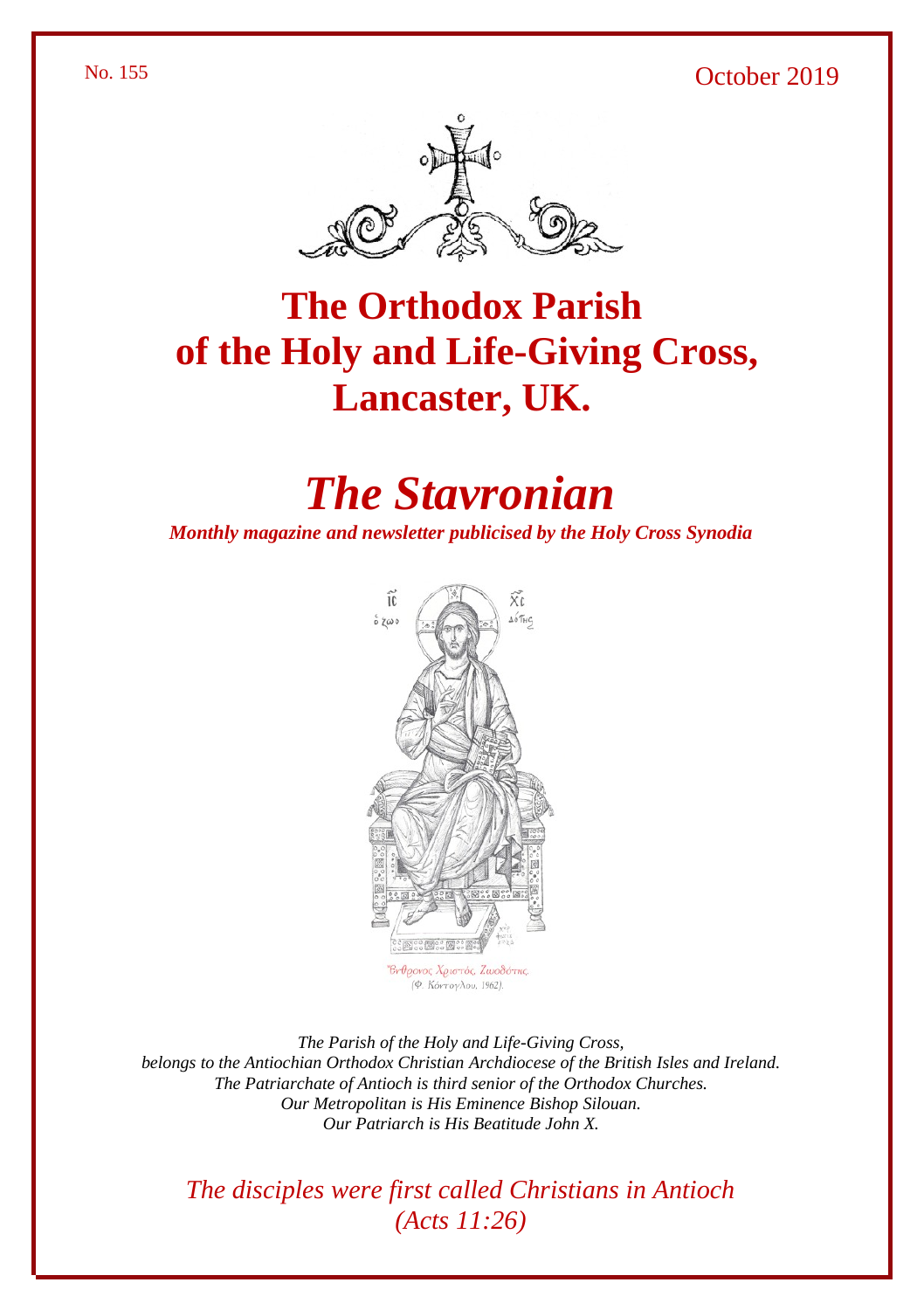#### No. 155 October 2019





# **The Orthodox Parish of the Holy and Life-Giving Cross, Lancaster, UK.**

# *The Stavronian*

*Monthly magazine and newsletter publicised by the Holy Cross Synodia*



(Φ. Κόντογλου, 1962).

*The Parish of the Holy and Life-Giving Cross, belongs to the Antiochian Orthodox Christian Archdiocese of the British Isles and Ireland. The Patriarchate of Antioch is third senior of the Orthodox Churches. Our Metropolitan is His Eminence Bishop Silouan. Our Patriarch is His Beatitude John X.*

*The disciples were first called Christians in Antioch (Acts 11:26)*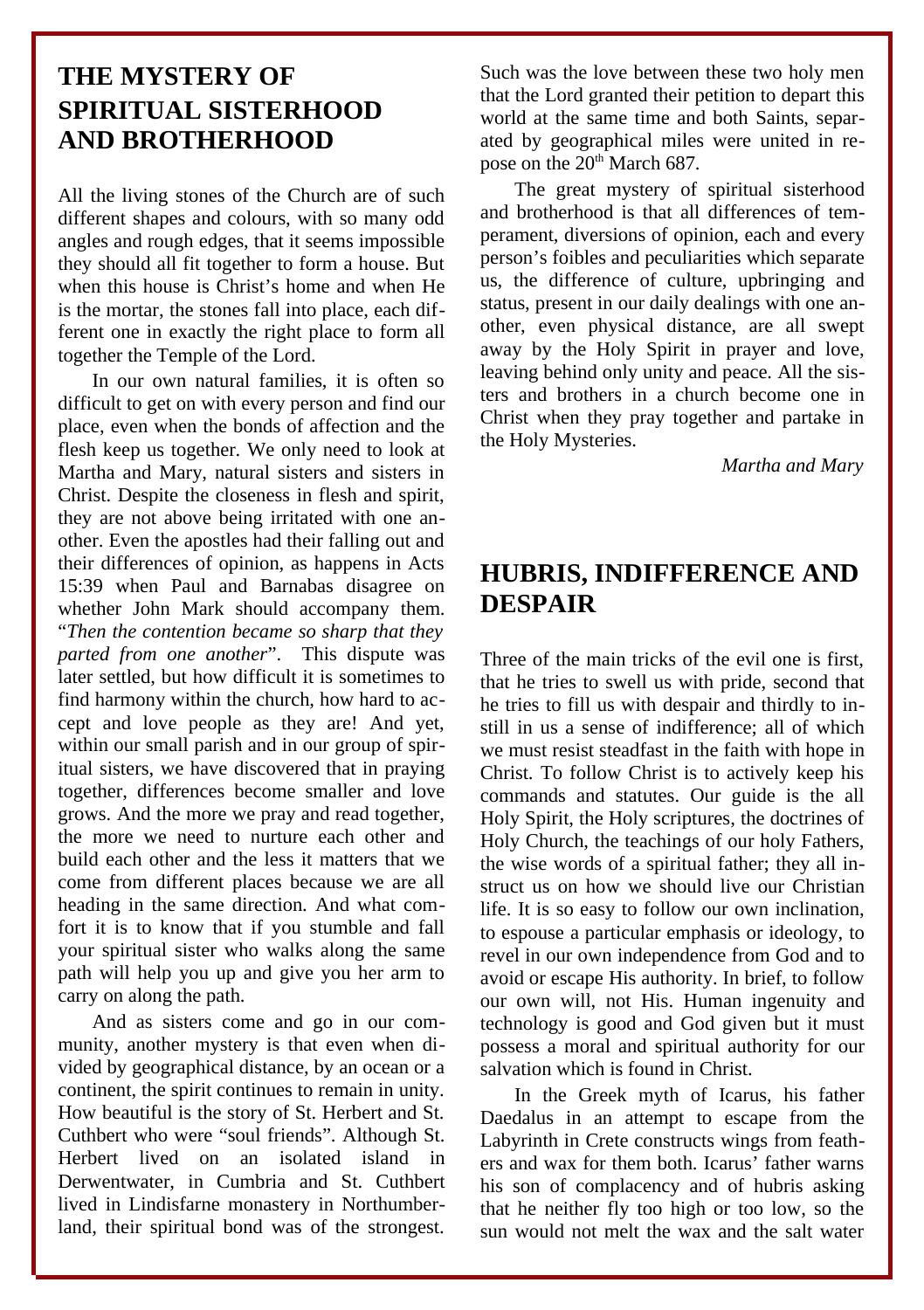## **THE MYSTERY OF SPIRITUAL SISTERHOOD AND BROTHERHOOD**

All the living stones of the Church are of such different shapes and colours, with so many odd angles and rough edges, that it seems impossible they should all fit together to form a house. But when this house is Christ's home and when He is the mortar, the stones fall into place, each different one in exactly the right place to form all together the Temple of the Lord.

In our own natural families, it is often so difficult to get on with every person and find our place, even when the bonds of affection and the flesh keep us together. We only need to look at Martha and Mary, natural sisters and sisters in Christ. Despite the closeness in flesh and spirit, they are not above being irritated with one another. Even the apostles had their falling out and their differences of opinion, as happens in Acts 15:39 when Paul and Barnabas disagree on whether John Mark should accompany them. "*Then the contention became so sharp that they parted from one another*". This dispute was later settled, but how difficult it is sometimes to find harmony within the church, how hard to accept and love people as they are! And yet, within our small parish and in our group of spiritual sisters, we have discovered that in praying together, differences become smaller and love grows. And the more we pray and read together, the more we need to nurture each other and build each other and the less it matters that we come from different places because we are all heading in the same direction. And what comfort it is to know that if you stumble and fall your spiritual sister who walks along the same path will help you up and give you her arm to carry on along the path.

And as sisters come and go in our community, another mystery is that even when divided by geographical distance, by an ocean or a continent, the spirit continues to remain in unity. How beautiful is the story of St. Herbert and St. Cuthbert who were "soul friends". Although St. Herbert lived on an isolated island Derwentwater, in Cumbria and St. Cuthbert lived in Lindisfarne monastery in Northumberland, their spiritual bond was of the strongest.

Such was the love between these two holy men that the Lord granted their petition to depart this world at the same time and both Saints, separated by geographical miles were united in repose on the  $20<sup>th</sup>$  March 687.

The great mystery of spiritual sisterhood and brotherhood is that all differences of temperament, diversions of opinion, each and every person's foibles and peculiarities which separate us, the difference of culture, upbringing and status, present in our daily dealings with one another, even physical distance, are all swept away by the Holy Spirit in prayer and love, leaving behind only unity and peace. All the sisters and brothers in a church become one in Christ when they pray together and partake in the Holy Mysteries.

*Martha and Mary*

### **HUBRIS, INDIFFERENCE AND DESPAIR**

Three of the main tricks of the evil one is first, that he tries to swell us with pride, second that he tries to fill us with despair and thirdly to instill in us a sense of indifference; all of which we must resist steadfast in the faith with hope in Christ. To follow Christ is to actively keep his commands and statutes. Our guide is the all Holy Spirit, the Holy scriptures, the doctrines of Holy Church, the teachings of our holy Fathers, the wise words of a spiritual father; they all instruct us on how we should live our Christian life. It is so easy to follow our own inclination, to espouse a particular emphasis or ideology, to revel in our own independence from God and to avoid or escape His authority. In brief, to follow our own will, not His. Human ingenuity and technology is good and God given but it must possess a moral and spiritual authority for our salvation which is found in Christ.

In the Greek myth of Icarus, his father Daedalus in an attempt to escape from the Labyrinth in Crete constructs wings from feathers and wax for them both. Icarus' father warns his son of complacency and of hubris asking that he neither fly too high or too low, so the sun would not melt the wax and the salt water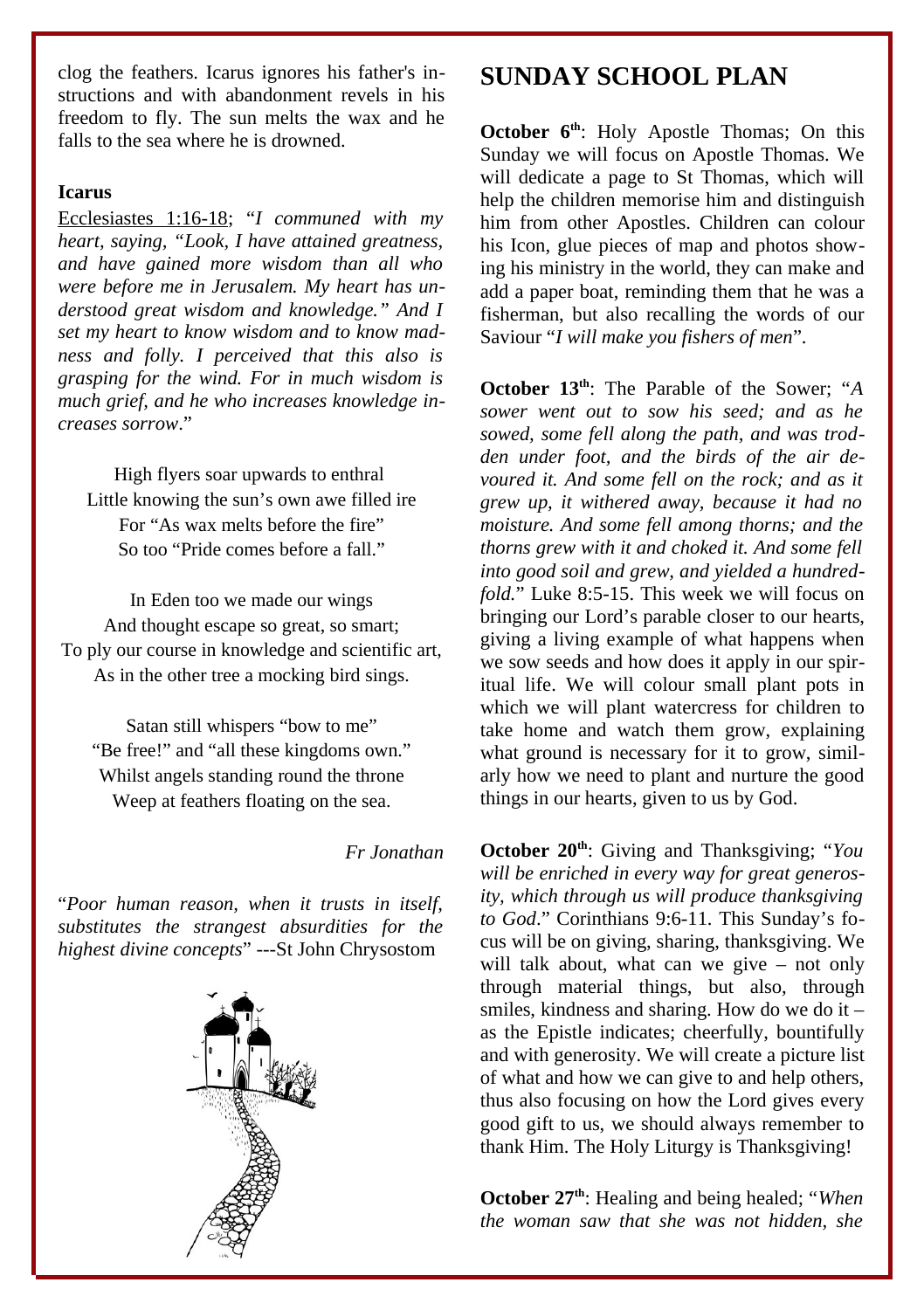clog the feathers. Icarus ignores his father's instructions and with abandonment revels in his freedom to fly. The sun melts the wax and he falls to the sea where he is drowned.

#### **Icarus**

Ecclesiastes 1:16-18; "*I communed with my heart, saying, "Look, I have attained greatness, and have gained more wisdom than all who were before me in Jerusalem. My heart has understood great wisdom and knowledge." And I set my heart to know wisdom and to know madness and folly. I perceived that this also is grasping for the wind. For in much wisdom is much grief, and he who increases knowledge increases sorrow*."

High flyers soar upwards to enthral Little knowing the sun's own awe filled ire For "As wax melts before the fire" So too "Pride comes before a fall."

In Eden too we made our wings And thought escape so great, so smart; To ply our course in knowledge and scientific art, As in the other tree a mocking bird sings.

Satan still whispers "bow to me" "Be free!" and "all these kingdoms own." Whilst angels standing round the throne Weep at feathers floating on the sea.

#### *Fr Jonathan*

"*Poor human reason, when it trusts in itself, substitutes the strangest absurdities for the highest divine concepts*" ---St John Chrysostom



# **SUNDAY SCHOOL PLAN**

**October 6th**: Holy Apostle Thomas; On this Sunday we will focus on Apostle Thomas. We will dedicate a page to St Thomas, which will help the children memorise him and distinguish him from other Apostles. Children can colour his Icon, glue pieces of map and photos showing his ministry in the world, they can make and add a paper boat, reminding them that he was a fisherman, but also recalling the words of our Saviour "*I will make you fishers of men*".

**October 13th**: The Parable of the Sower; "*A sower went out to sow his seed; and as he sowed, some fell along the path, and was trodden under foot, and the birds of the air devoured it. And some fell on the rock; and as it grew up, it withered away, because it had no moisture. And some fell among thorns; and the thorns grew with it and choked it. And some fell into good soil and grew, and yielded a hundredfold.*" Luke 8:5-15. This week we will focus on bringing our Lord's parable closer to our hearts, giving a living example of what happens when we sow seeds and how does it apply in our spiritual life. We will colour small plant pots in which we will plant watercress for children to take home and watch them grow, explaining what ground is necessary for it to grow, similarly how we need to plant and nurture the good things in our hearts, given to us by God.

**October 20th**: Giving and Thanksgiving; "*You will be enriched in every way for great generosity, which through us will produce thanksgiving to God*." Corinthians 9:6-11. This Sunday's focus will be on giving, sharing, thanksgiving. We will talk about, what can we give – not only through material things, but also, through smiles, kindness and sharing. How do we do it – as the Epistle indicates; cheerfully, bountifully and with generosity. We will create a picture list of what and how we can give to and help others, thus also focusing on how the Lord gives every good gift to us, we should always remember to thank Him. The Holy Liturgy is Thanksgiving!

**October 27th**: Healing and being healed; "*When the woman saw that she was not hidden, she*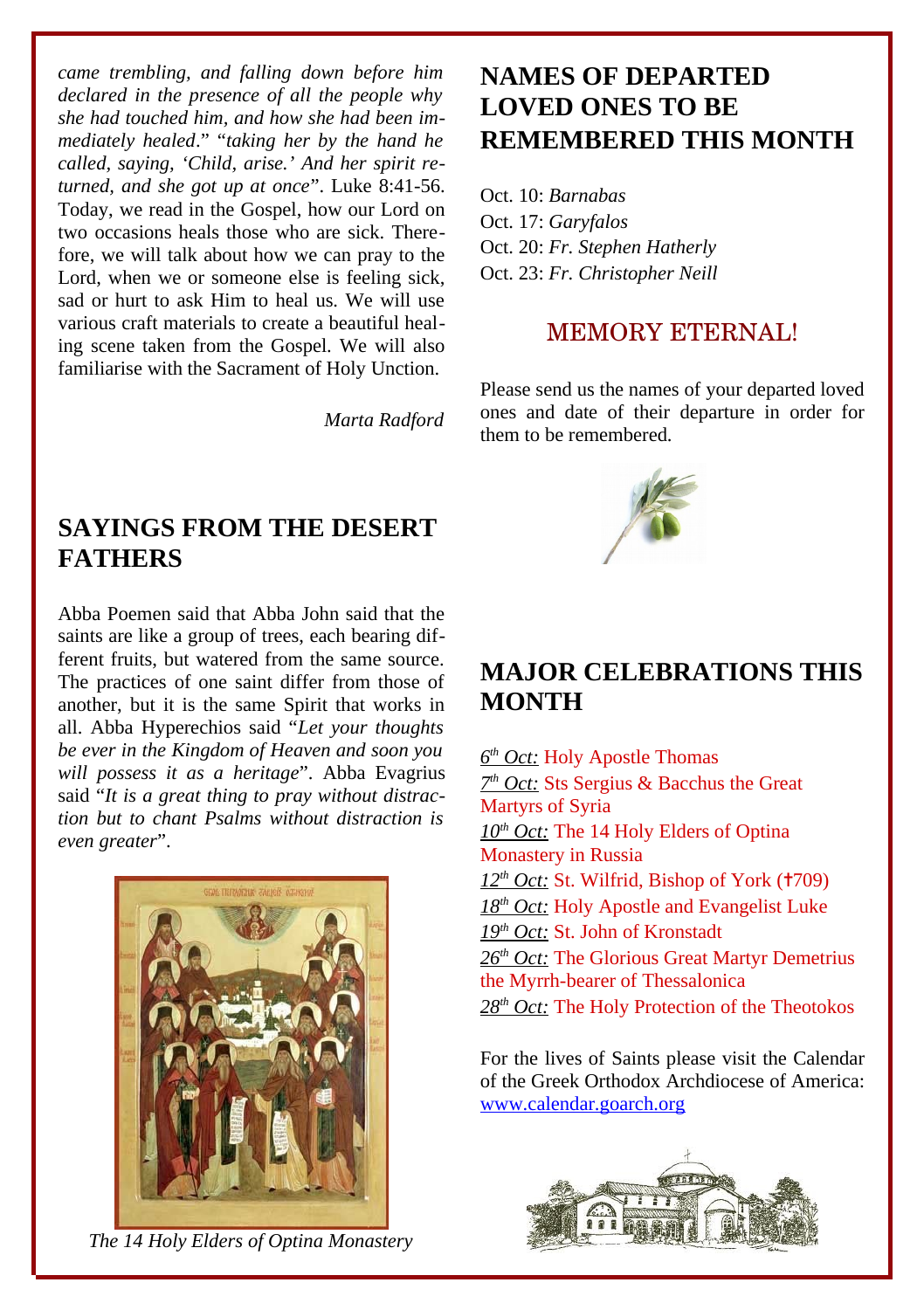*came trembling, and falling down before him declared in the presence of all the people why she had touched him, and how she had been immediately healed*." "*taking her by the hand he called, saying, 'Child, arise.' And her spirit returned, and she got up at once*". Luke 8:41-56. Today, we read in the Gospel, how our Lord on two occasions heals those who are sick. Therefore, we will talk about how we can pray to the Lord, when we or someone else is feeling sick, sad or hurt to ask Him to heal us. We will use various craft materials to create a beautiful healing scene taken from the Gospel. We will also familiarise with the Sacrament of Holy Unction.

*Marta Radford*

## **SAYINGS FROM THE DESERT FATHERS**

Abba Poemen said that Abba John said that the saints are like a group of trees, each bearing different fruits, but watered from the same source. The practices of one saint differ from those of another, but it is the same Spirit that works in all. Abba Hyperechios said "*Let your thoughts be ever in the Kingdom of Heaven and soon you will possess it as a heritage*". Abba Evagrius said "*It is a great thing to pray without distraction but to chant Psalms without distraction is even greater*".



*The 14 Holy Elders of Optina Monastery*

# **NAMES OF DEPARTED LOVED ONES TO BE REMEMBERED THIS MONTH**

Oct. 10: *Barnabas* Oct. 17: *Garyfalos* Oct. 20: *Fr. Stephen Hatherly* Oct. 23: *Fr. Christopher Neill*

#### MEMORY ETERNAL!

Please send us the names of your departed loved ones and date of their departure in order for them to be remembered.



### **MAJOR CELEBRATIONS THIS MONTH**

 *6 th Oct:* Holy Apostle Thomas  *7 th Oct:* Sts Sergius & Bacchus the Great Martyrs of Syria  *10th Oct:* The 14 Holy Elders of Optina Monastery in Russia 12<sup>th</sup> Oct: St. Wilfrid, Bishop of York (<sup>†709)</sup> 18<sup>th</sup> Oct: Holy Apostle and Evangelist Luke  *19th Oct:* St. John of Kronstadt  *26th Oct:* The Glorious Great Martyr Demetrius the Myrrh-bearer of Thessalonica  *28th Oct:* The Holy Protection of the Theotokos

For the lives of Saints please visit the Calendar of the Greek Orthodox Archdiocese of America: [www.calendar.goarch.org](http://www.calendar.goarch.org/)